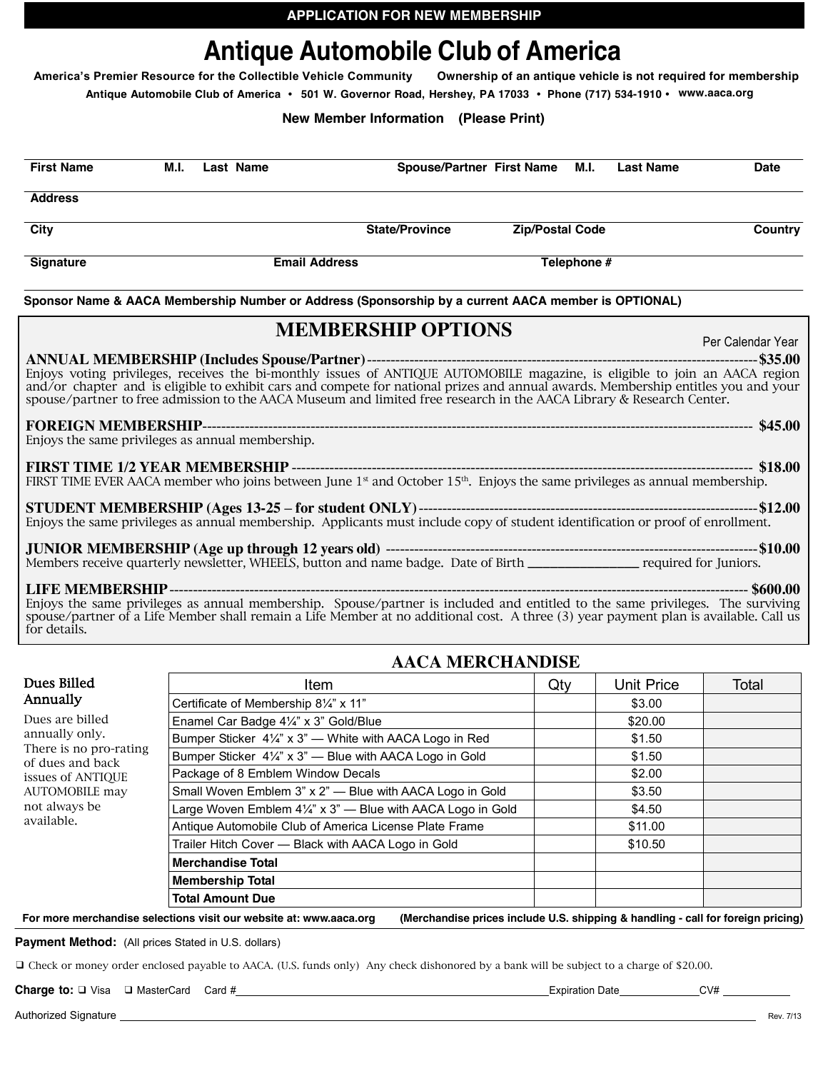# **Antique Automobile Club of America**

**America's Premier Resource for the Collectible Vehicle Community Ownership of an antique vehicle is not required for membership**

**Antique Automobile Club of America • 501 W. Governor Road, Hershey, PA 17033 • Phone (717) 534-1910 • www.aaca.org**

## **New Member Information (Please Print)**

| <b>First Name</b>                                | M.I.                                | Last Name |  | <b>Spouse/Partner First Name</b>                                                                                                                                                                                                                                                                                                                                                                                       |  | M.I.                   | <b>Last Name</b> | <b>Date</b>        |
|--------------------------------------------------|-------------------------------------|-----------|--|------------------------------------------------------------------------------------------------------------------------------------------------------------------------------------------------------------------------------------------------------------------------------------------------------------------------------------------------------------------------------------------------------------------------|--|------------------------|------------------|--------------------|
| <b>Address</b>                                   |                                     |           |  |                                                                                                                                                                                                                                                                                                                                                                                                                        |  |                        |                  |                    |
| City                                             |                                     |           |  | <b>State/Province</b>                                                                                                                                                                                                                                                                                                                                                                                                  |  | <b>Zip/Postal Code</b> |                  | <b>Country</b>     |
| <b>Signature</b>                                 | <b>Email Address</b><br>Telephone # |           |  |                                                                                                                                                                                                                                                                                                                                                                                                                        |  |                        |                  |                    |
|                                                  |                                     |           |  | Sponsor Name & AACA Membership Number or Address (Sponsorship by a current AACA member is OPTIONAL)                                                                                                                                                                                                                                                                                                                    |  |                        |                  |                    |
|                                                  |                                     |           |  | <b>MEMBERSHIP OPTIONS</b><br>Enjoys voting privileges, receives the bi-monthly issues of ANTIQUE AUTOMOBILE magazine, is eligible to join an AACA region<br>and/or chapter and is eligible to exhibit cars and compete for national prizes and annual awards. Membership entitles you and your<br>spouse/partner to free admission to the AACA Museum and limited free research in the AACA Library & Research Center. |  |                        |                  | Per Calendar Year  |
| Enjoys the same privileges as annual membership. |                                     |           |  |                                                                                                                                                                                                                                                                                                                                                                                                                        |  |                        |                  |                    |
|                                                  |                                     |           |  | FIRST TIME EVER AACA member who joins between June $1st$ and October $15th$ . Enjoys the same privileges as annual membership.                                                                                                                                                                                                                                                                                         |  |                        |                  |                    |
|                                                  |                                     |           |  | Enjoys the same privileges as annual membership. Applicants must include copy of student identification or proof of enrollment.                                                                                                                                                                                                                                                                                        |  |                        |                  |                    |
|                                                  |                                     |           |  | Members receive quarterly newsletter, WHEELS, button and name badge. Date of Birth results are required for Juniors.                                                                                                                                                                                                                                                                                                   |  |                        |                  |                    |
| LIER MEMBERGIID.                                 |                                     |           |  |                                                                                                                                                                                                                                                                                                                                                                                                                        |  |                        |                  | $\triangle$ CAO AO |

**LIFE MEMBERSHIP**--------------------------------------------------------------------------------------------------------------------------- **\$600.00** Enjoys the same privileges as annual membership. Spouse/partner is included and entitled to the same privileges. The surviving spouse/partner of a Life Member shall remain a Life Member at no additional cost. A three (3) year payment plan is available. Call us for details.

# **AACA MERCHANDISE**

| Dues Billed                                                  | Item                                                                   | Qty | Unit Price | Total |
|--------------------------------------------------------------|------------------------------------------------------------------------|-----|------------|-------|
| Annually                                                     | Certificate of Membership 81/4" x 11"                                  |     | \$3.00     |       |
| Dues are billed                                              | Enamel Car Badge 41/4" x 3" Gold/Blue                                  |     | \$20.00    |       |
| annually only.<br>There is no pro-rating<br>of dues and back | Bumper Sticker 41/4" x 3" - White with AACA Logo in Red                |     | \$1.50     |       |
|                                                              | Bumper Sticker 41/4" x 3" - Blue with AACA Logo in Gold                |     | \$1.50     |       |
| issues of ANTIOUE                                            | Package of 8 Emblem Window Decals                                      |     | \$2.00     |       |
| AUTOMOBILE may                                               | Small Woven Emblem 3" x 2" - Blue with AACA Logo in Gold               |     | \$3.50     |       |
| not always be                                                | Large Woven Emblem $4\frac{1}{4}$ " x 3" - Blue with AACA Logo in Gold |     | \$4.50     |       |
| available.                                                   | Antique Automobile Club of America License Plate Frame                 |     | \$11.00    |       |
|                                                              | Trailer Hitch Cover - Black with AACA Logo in Gold                     |     | \$10.50    |       |
|                                                              | <b>Merchandise Total</b>                                               |     |            |       |
|                                                              | <b>Membership Total</b>                                                |     |            |       |
|                                                              | <b>Total Amount Due</b>                                                |     |            |       |

For more merchandise selections visit our website at: www.aaca.org (Merchandise prices include U.S. shipping & handling - call for foreign pricing)

**Payment Method:** (All prices Stated in U.S. dollars)

❑ Check or money order enclosed payable to AACA. (U.S. funds only) Any check dishonored by a bank will be subject to a charge of \$20.00.

**Charge to:**  $\Box$  Visa  $\Box$  MasterCard Card # Expiration Date Expiration Date CV# CV# CV#

Authorized Signature Rev. 7/13